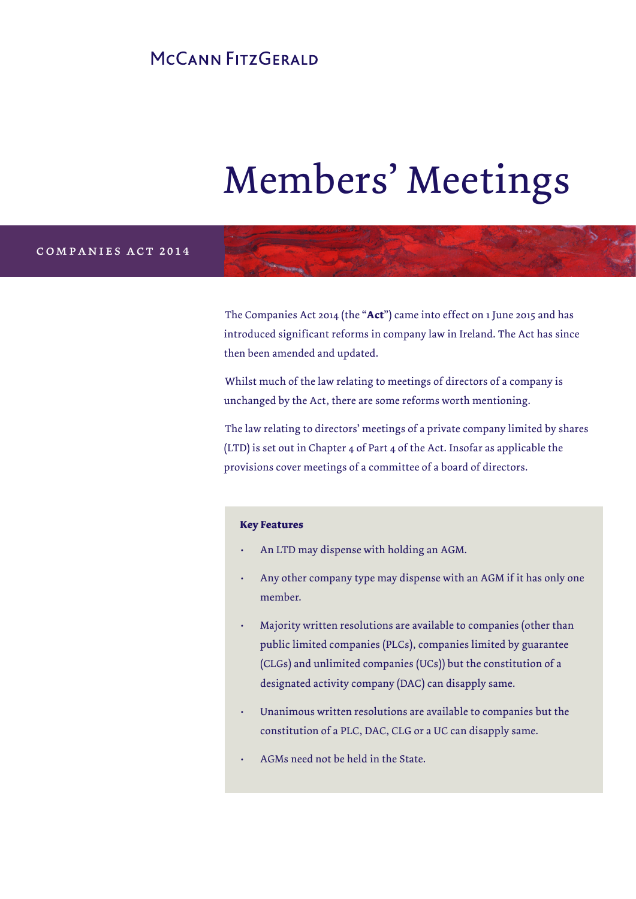# MCCANN FITZGERALD

# Members' Meetings

## companies act 2014

The Companies Act 2014 (the "**Act**") came into effect on 1 June 2015 and has introduced significant reforms in company law in Ireland. The Act has since then been amended and updated.

Whilst much of the law relating to meetings of directors of a company is unchanged by the Act, there are some reforms worth mentioning.

The law relating to directors' meetings of a private company limited by shares (LTD) is set out in Chapter 4 of Part 4 of the Act. Insofar as applicable the provisions cover meetings of a committee of a board of directors.

#### **Key Features**

- An LTD may dispense with holding an AGM.
- Any other company type may dispense with an AGM if it has only one member.
- Majority written resolutions are available to companies (other than public limited companies (PLCs), companies limited by guarantee (CLGs) and unlimited companies (UCs)) but the constitution of a designated activity company (DAC) can disapply same.
- Unanimous written resolutions are available to companies but the constitution of a PLC, DAC, CLG or a UC can disapply same.
- AGMs need not be held in the State.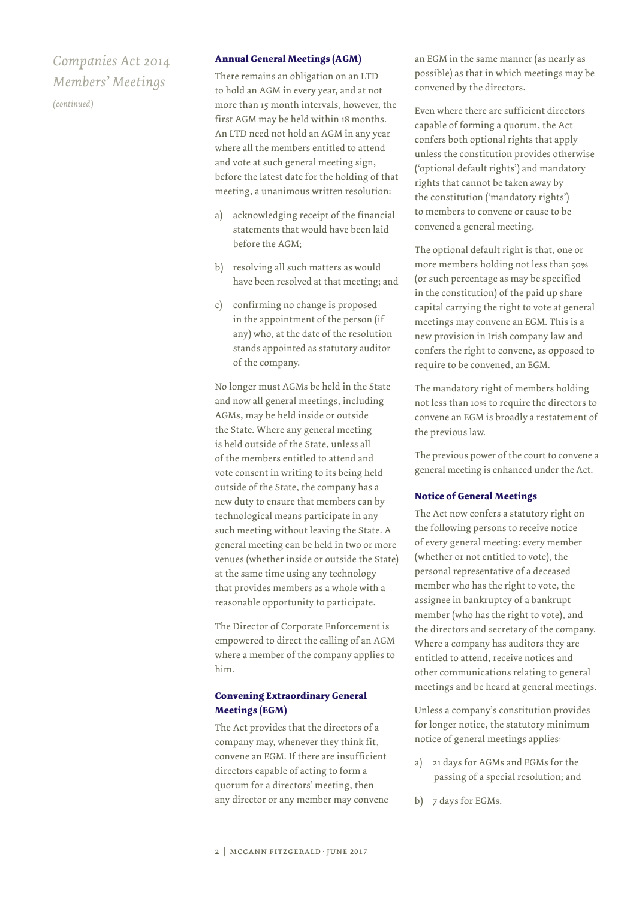*(continued)*

#### **Annual General Meetings (AGM)**

There remains an obligation on an LTD to hold an AGM in every year, and at not more than 15 month intervals, however, the first AGM may be held within 18 months. An LTD need not hold an AGM in any year where all the members entitled to attend and vote at such general meeting sign, before the latest date for the holding of that meeting, a unanimous written resolution:

- acknowledging receipt of the financial statements that would have been laid before the AGM;
- b) resolving all such matters as would have been resolved at that meeting; and
- c) confirming no change is proposed in the appointment of the person (if any) who, at the date of the resolution stands appointed as statutory auditor of the company.

No longer must AGMs be held in the State and now all general meetings, including AGMs, may be held inside or outside the State. Where any general meeting is held outside of the State, unless all of the members entitled to attend and vote consent in writing to its being held outside of the State, the company has a new duty to ensure that members can by technological means participate in any such meeting without leaving the State. A general meeting can be held in two or more venues (whether inside or outside the State) at the same time using any technology that provides members as a whole with a reasonable opportunity to participate.

The Director of Corporate Enforcement is empowered to direct the calling of an AGM where a member of the company applies to him.

## **Convening Extraordinary General Meetings (EGM)**

The Act provides that the directors of a company may, whenever they think fit, convene an EGM. If there are insufficient directors capable of acting to form a quorum for a directors' meeting, then any director or any member may convene an EGM in the same manner (as nearly as possible) as that in which meetings may be convened by the directors.

Even where there are sufficient directors capable of forming a quorum, the Act confers both optional rights that apply unless the constitution provides otherwise ('optional default rights') and mandatory rights that cannot be taken away by the constitution ('mandatory rights') to members to convene or cause to be convened a general meeting.

The optional default right is that, one or more members holding not less than 50% (or such percentage as may be specified in the constitution) of the paid up share capital carrying the right to vote at general meetings may convene an EGM. This is a new provision in Irish company law and confers the right to convene, as opposed to require to be convened, an EGM.

The mandatory right of members holding not less than 10% to require the directors to convene an EGM is broadly a restatement of the previous law.

The previous power of the court to convene a general meeting is enhanced under the Act.

#### **Notice of General Meetings**

The Act now confers a statutory right on the following persons to receive notice of every general meeting: every member (whether or not entitled to vote), the personal representative of a deceased member who has the right to vote, the assignee in bankruptcy of a bankrupt member (who has the right to vote), and the directors and secretary of the company. Where a company has auditors they are entitled to attend, receive notices and other communications relating to general meetings and be heard at general meetings.

Unless a company's constitution provides for longer notice, the statutory minimum notice of general meetings applies:

- a) 21 days for AGMs and EGMs for the passing of a special resolution; and
- b) 7 days for EGMs.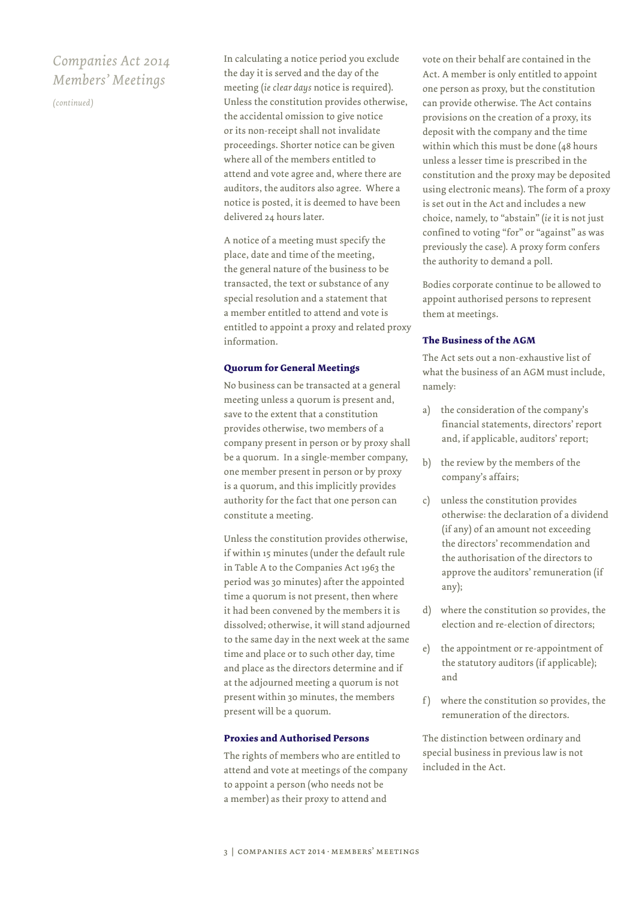*(continued)*

In calculating a notice period you exclude the day it is served and the day of the meeting (*ie clear days* notice is required). Unless the constitution provides otherwise, the accidental omission to give notice or its non-receipt shall not invalidate proceedings. Shorter notice can be given where all of the members entitled to attend and vote agree and, where there are auditors, the auditors also agree. Where a notice is posted, it is deemed to have been delivered 24 hours later.

A notice of a meeting must specify the place, date and time of the meeting, the general nature of the business to be transacted, the text or substance of any special resolution and a statement that a member entitled to attend and vote is entitled to appoint a proxy and related proxy information.

#### **Quorum for General Meetings**

No business can be transacted at a general meeting unless a quorum is present and, save to the extent that a constitution provides otherwise, two members of a company present in person or by proxy shall be a quorum. In a single-member company, one member present in person or by proxy is a quorum, and this implicitly provides authority for the fact that one person can constitute a meeting.

Unless the constitution provides otherwise, if within 15 minutes (under the default rule in Table A to the Companies Act 1963 the period was 30 minutes) after the appointed time a quorum is not present, then where it had been convened by the members it is dissolved; otherwise, it will stand adjourned to the same day in the next week at the same time and place or to such other day, time and place as the directors determine and if at the adjourned meeting a quorum is not present within 30 minutes, the members present will be a quorum.

#### **Proxies and Authorised Persons**

The rights of members who are entitled to attend and vote at meetings of the company to appoint a person (who needs not be a member) as their proxy to attend and

vote on their behalf are contained in the Act. A member is only entitled to appoint one person as proxy, but the constitution can provide otherwise. The Act contains provisions on the creation of a proxy, its deposit with the company and the time within which this must be done (48 hours unless a lesser time is prescribed in the constitution and the proxy may be deposited using electronic means). The form of a proxy is set out in the Act and includes a new choice, namely, to "abstain" (*ie* it is not just confined to voting "for" or "against" as was previously the case). A proxy form confers the authority to demand a poll.

Bodies corporate continue to be allowed to appoint authorised persons to represent them at meetings.

#### **The Business of the AGM**

The Act sets out a non-exhaustive list of what the business of an AGM must include, namely:

- a) the consideration of the company's financial statements, directors' report and, if applicable, auditors' report;
- b) the review by the members of the company's affairs;
- c) unless the constitution provides otherwise: the declaration of a dividend (if any) of an amount not exceeding the directors' recommendation and the authorisation of the directors to approve the auditors' remuneration (if any);
- d) where the constitution so provides, the election and re-election of directors;
- e) the appointment or re-appointment of the statutory auditors (if applicable); and
- f ) where the constitution so provides, the remuneration of the directors.

The distinction between ordinary and special business in previous law is not included in the Act.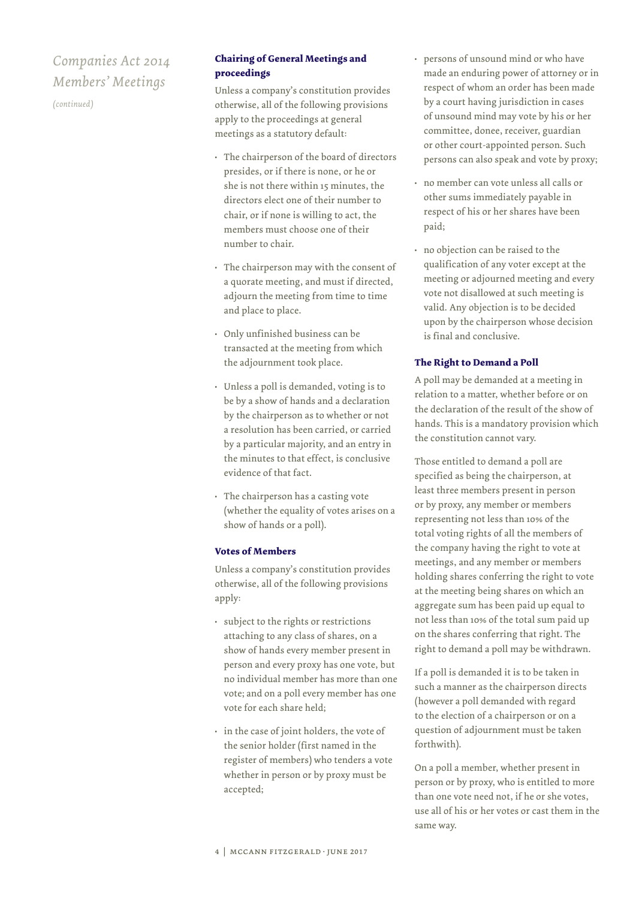*(continued)*

## **Chairing of General Meetings and proceedings**

Unless a company's constitution provides otherwise, all of the following provisions apply to the proceedings at general meetings as a statutory default:

- The chairperson of the board of directors presides, or if there is none, or he or she is not there within 15 minutes, the directors elect one of their number to chair, or if none is willing to act, the members must choose one of their number to chair.
- The chairperson may with the consent of a quorate meeting, and must if directed, adjourn the meeting from time to time and place to place.
- Only unfinished business can be transacted at the meeting from which the adjournment took place.
- Unless a poll is demanded, voting is to be by a show of hands and a declaration by the chairperson as to whether or not a resolution has been carried, or carried by a particular majority, and an entry in the minutes to that effect, is conclusive evidence of that fact.
- The chairperson has a casting vote (whether the equality of votes arises on a show of hands or a poll).

## **Votes of Members**

Unless a company's constitution provides otherwise, all of the following provisions apply:

- subject to the rights or restrictions attaching to any class of shares, on a show of hands every member present in person and every proxy has one vote, but no individual member has more than one vote; and on a poll every member has one vote for each share held;
- in the case of joint holders, the vote of the senior holder (first named in the register of members) who tenders a vote whether in person or by proxy must be accepted;
- persons of unsound mind or who have made an enduring power of attorney or in respect of whom an order has been made by a court having jurisdiction in cases of unsound mind may vote by his or her committee, donee, receiver, guardian or other court-appointed person. Such persons can also speak and vote by proxy;
- no member can vote unless all calls or other sums immediately payable in respect of his or her shares have been paid;
- no objection can be raised to the qualification of any voter except at the meeting or adjourned meeting and every vote not disallowed at such meeting is valid. Any objection is to be decided upon by the chairperson whose decision is final and conclusive.

## **The Right to Demand a Poll**

A poll may be demanded at a meeting in relation to a matter, whether before or on the declaration of the result of the show of hands. This is a mandatory provision which the constitution cannot vary.

Those entitled to demand a poll are specified as being the chairperson, at least three members present in person or by proxy, any member or members representing not less than 10% of the total voting rights of all the members of the company having the right to vote at meetings, and any member or members holding shares conferring the right to vote at the meeting being shares on which an aggregate sum has been paid up equal to not less than 10% of the total sum paid up on the shares conferring that right. The right to demand a poll may be withdrawn.

If a poll is demanded it is to be taken in such a manner as the chairperson directs (however a poll demanded with regard to the election of a chairperson or on a question of adjournment must be taken forthwith).

On a poll a member, whether present in person or by proxy, who is entitled to more than one vote need not, if he or she votes, use all of his or her votes or cast them in the same way.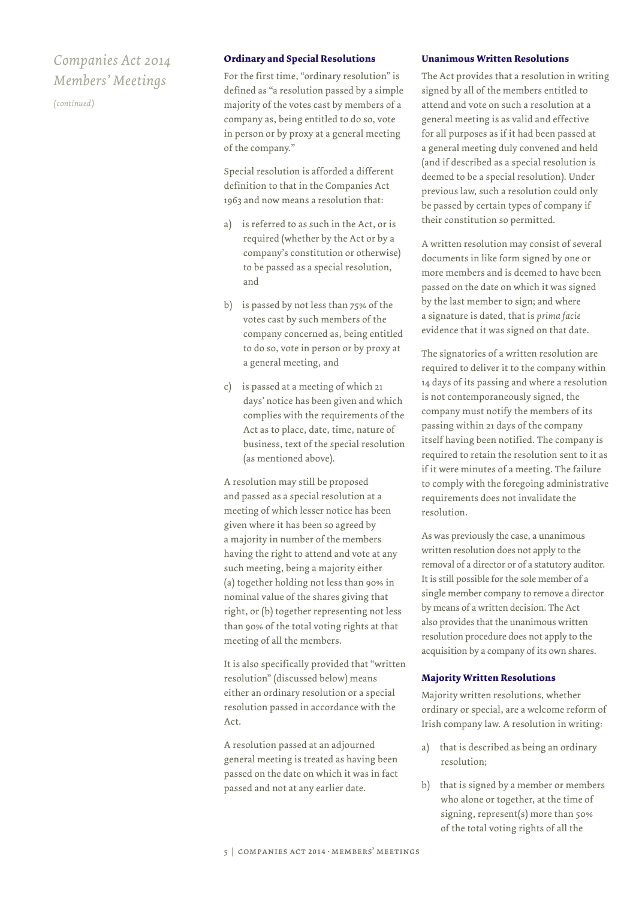*(continued)*

#### **Ordinary and Special Resolutions**

For the first time, "ordinary resolution" is defined as "a resolution passed by a simple majority of the votes cast by members of a company as, being entitled to do so, vote in person or by proxy at a general meeting of the company."

Special resolution is afforded a different definition to that in the Companies Act 1963 and now means a resolution that:

- a) is referred to as such in the Act, or is required (whether by the Act or by a company's constitution or otherwise) to be passed as a special resolution, and
- b) is passed by not less than 75% of the votes cast by such members of the company concerned as, being entitled to do so, vote in person or by proxy at a general meeting, and
- c) is passed at a meeting of which 21 days' notice has been given and which complies with the requirements of the Act as to place, date, time, nature of business, text of the special resolution (as mentioned above).

A resolution may still be proposed and passed as a special resolution at a meeting of which lesser notice has been given where it has been so agreed by a majority in number of the members having the right to attend and vote at any such meeting, being a majority either (a) together holding not less than 90% in nominal value of the shares giving that right, or (b) together representing not less than 90% of the total voting rights at that meeting of all the members.

It is also specifically provided that "written resolution" (discussed below) means either an ordinary resolution or a special resolution passed in accordance with the Act.

A resolution passed at an adjourned general meeting is treated as having been passed on the date on which it was in fact passed and not at any earlier date.

#### **Unanimous Written Resolutions**

The Act provides that a resolution in writing signed by all of the members entitled to attend and vote on such a resolution at a general meeting is as valid and effective for all purposes as if it had been passed at a general meeting duly convened and held (and if described as a special resolution is deemed to be a special resolution). Under previous law, such a resolution could only be passed by certain types of company if their constitution so permitted.

A written resolution may consist of several documents in like form signed by one or more members and is deemed to have been passed on the date on which it was signed by the last member to sign; and where a signature is dated, that is *prima facie* evidence that it was signed on that date.

The signatories of a written resolution are required to deliver it to the company within 14 days of its passing and where a resolution is not contemporaneously signed, the company must notify the members of its passing within 21 days of the company itself having been notified. The company is required to retain the resolution sent to it as if it were minutes of a meeting. The failure to comply with the foregoing administrative requirements does not invalidate the resolution.

As was previously the case, a unanimous written resolution does not apply to the removal of a director or of a statutory auditor. It is still possible for the sole member of a single member company to remove a director by means of a written decision. The Act also provides that the unanimous written resolution procedure does not apply to the acquisition by a company of its own shares.

#### **Majority Written Resolutions**

Majority written resolutions, whether ordinary or special, are a welcome reform of Irish company law. A resolution in writing:

- a) that is described as being an ordinary resolution;
- b) that is signed by a member or members who alone or together, at the time of signing, represent(s) more than 50% of the total voting rights of all the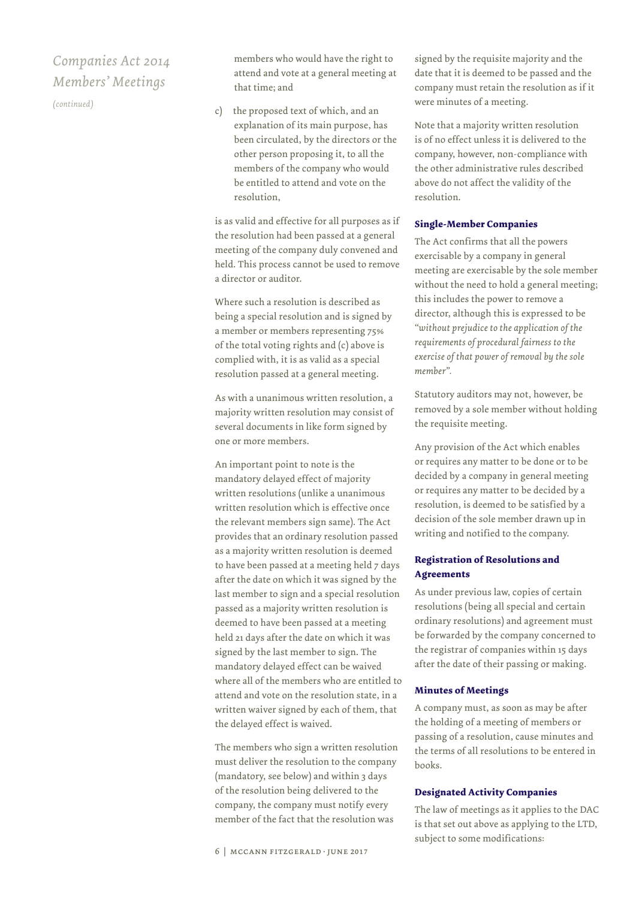*(continued)*

members who would have the right to attend and vote at a general meeting at that time; and

c) the proposed text of which, and an explanation of its main purpose, has been circulated, by the directors or the other person proposing it, to all the members of the company who would be entitled to attend and vote on the resolution,

is as valid and effective for all purposes as if the resolution had been passed at a general meeting of the company duly convened and held. This process cannot be used to remove a director or auditor.

Where such a resolution is described as being a special resolution and is signed by a member or members representing 75% of the total voting rights and (c) above is complied with, it is as valid as a special resolution passed at a general meeting.

As with a unanimous written resolution, a majority written resolution may consist of several documents in like form signed by one or more members.

An important point to note is the mandatory delayed effect of majority written resolutions (unlike a unanimous written resolution which is effective once the relevant members sign same). The Act provides that an ordinary resolution passed as a majority written resolution is deemed to have been passed at a meeting held 7 days after the date on which it was signed by the last member to sign and a special resolution passed as a majority written resolution is deemed to have been passed at a meeting held 21 days after the date on which it was signed by the last member to sign. The mandatory delayed effect can be waived where all of the members who are entitled to attend and vote on the resolution state, in a written waiver signed by each of them, that the delayed effect is waived.

The members who sign a written resolution must deliver the resolution to the company (mandatory, see below) and within 3 days of the resolution being delivered to the company, the company must notify every member of the fact that the resolution was

signed by the requisite majority and the date that it is deemed to be passed and the company must retain the resolution as if it were minutes of a meeting.

Note that a majority written resolution is of no effect unless it is delivered to the company, however, non-compliance with the other administrative rules described above do not affect the validity of the resolution.

#### **Single-Member Companies**

The Act confirms that all the powers exercisable by a company in general meeting are exercisable by the sole member without the need to hold a general meeting; this includes the power to remove a director, although this is expressed to be *"without prejudice to the application of the requirements of procedural fairness to the exercise of that power of removal by the sole member".*

Statutory auditors may not, however, be removed by a sole member without holding the requisite meeting.

Any provision of the Act which enables or requires any matter to be done or to be decided by a company in general meeting or requires any matter to be decided by a resolution, is deemed to be satisfied by a decision of the sole member drawn up in writing and notified to the company.

## **Registration of Resolutions and Agreements**

As under previous law, copies of certain resolutions (being all special and certain ordinary resolutions) and agreement must be forwarded by the company concerned to the registrar of companies within 15 days after the date of their passing or making.

## **Minutes of Meetings**

A company must, as soon as may be after the holding of a meeting of members or passing of a resolution, cause minutes and the terms of all resolutions to be entered in books.

#### **Designated Activity Companies**

The law of meetings as it applies to the DAC is that set out above as applying to the LTD, subject to some modifications: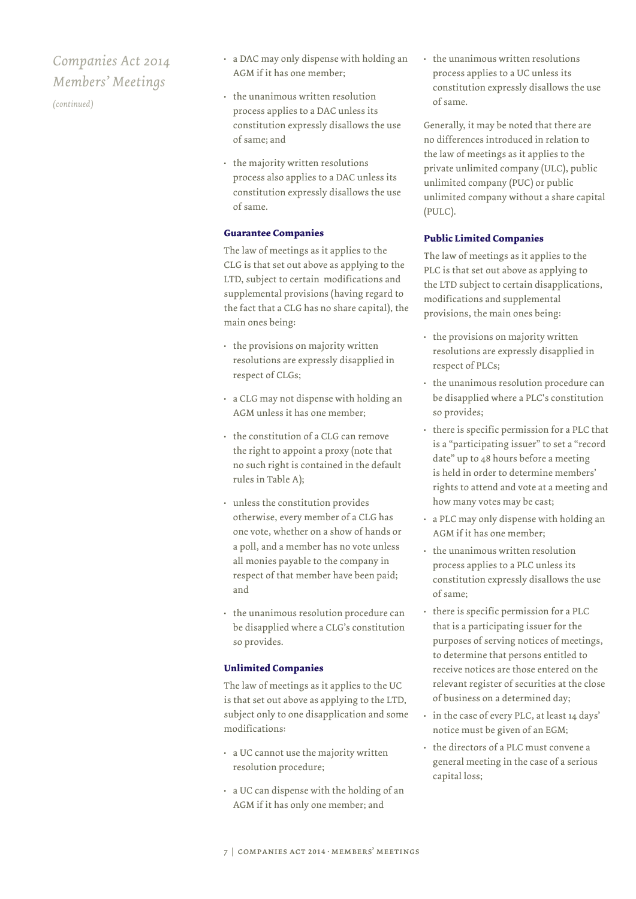*(continued)*

- a DAC may only dispense with holding an AGM if it has one member;
- the unanimous written resolution process applies to a DAC unless its constitution expressly disallows the use of same; and
- the majority written resolutions process also applies to a DAC unless its constitution expressly disallows the use of same.

#### **Guarantee Companies**

The law of meetings as it applies to the CLG is that set out above as applying to the LTD, subject to certain modifications and supplemental provisions (having regard to the fact that a CLG has no share capital), the main ones being:

- the provisions on majority written resolutions are expressly disapplied in respect of CLGs;
- a CLG may not dispense with holding an AGM unless it has one member;
- the constitution of a CLG can remove the right to appoint a proxy (note that no such right is contained in the default rules in Table A);
- unless the constitution provides otherwise, every member of a CLG has one vote, whether on a show of hands or a poll, and a member has no vote unless all monies payable to the company in respect of that member have been paid; and
- the unanimous resolution procedure can be disapplied where a CLG's constitution so provides.

#### **Unlimited Companies**

The law of meetings as it applies to the UC is that set out above as applying to the LTD, subject only to one disapplication and some modifications:

- a UC cannot use the majority written resolution procedure;
- a UC can dispense with the holding of an AGM if it has only one member; and

• the unanimous written resolutions process applies to a UC unless its constitution expressly disallows the use of same.

Generally, it may be noted that there are no differences introduced in relation to the law of meetings as it applies to the private unlimited company (ULC), public unlimited company (PUC) or public unlimited company without a share capital (PULC).

## **Public Limited Companies**

The law of meetings as it applies to the PLC is that set out above as applying to the LTD subject to certain disapplications, modifications and supplemental provisions, the main ones being:

- the provisions on majority written resolutions are expressly disapplied in respect of PLCs;
- the unanimous resolution procedure can be disapplied where a PLC's constitution so provides;
- there is specific permission for a PLC that is a "participating issuer" to set a "record date" up to 48 hours before a meeting is held in order to determine members' rights to attend and vote at a meeting and how many votes may be cast;
- a PLC may only dispense with holding an AGM if it has one member;
- the unanimous written resolution process applies to a PLC unless its constitution expressly disallows the use of same;
- there is specific permission for a PLC that is a participating issuer for the purposes of serving notices of meetings, to determine that persons entitled to receive notices are those entered on the relevant register of securities at the close of business on a determined day;
- in the case of every PLC, at least 14 days' notice must be given of an EGM;
- the directors of a PLC must convene a general meeting in the case of a serious capital loss;